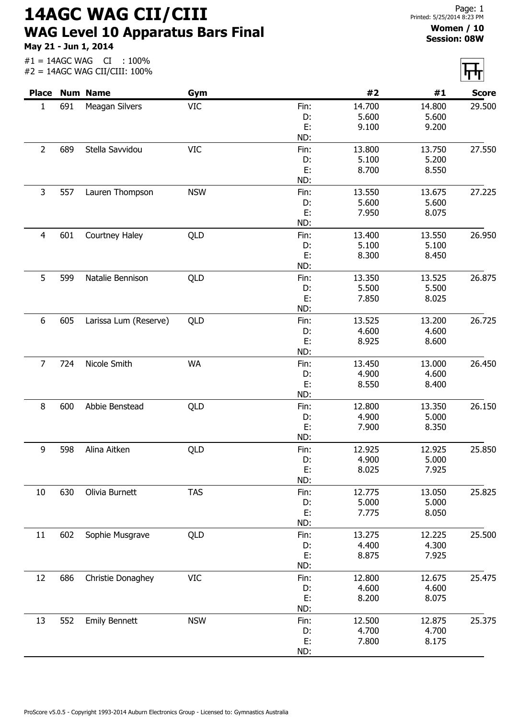14AGC WAG CII/CIII WAG Level 10 Apparatus Bars Final

May 21 - Jun 1, 2014

## Women / 10 Session: 08W

|                |     | <b>Place Num Name</b> | Gym        |            | #2              | #1              | <b>Score</b> |
|----------------|-----|-----------------------|------------|------------|-----------------|-----------------|--------------|
| $\mathbf{1}$   | 691 | Meagan Silvers        | <b>VIC</b> | Fin:       | 14.700          | 14.800          | 29.500       |
|                |     |                       |            | D:         | 5.600           | 5.600           |              |
|                |     |                       |            | E:         | 9.100           | 9.200           |              |
|                |     |                       |            | ND:        |                 |                 |              |
| 2              | 689 | Stella Savvidou       | <b>VIC</b> | Fin:       | 13.800          | 13.750          | 27.550       |
|                |     |                       |            | D:         | 5.100           | 5.200           |              |
|                |     |                       |            | E:         | 8.700           | 8.550           |              |
|                |     |                       |            | ND:        |                 |                 |              |
| 3              | 557 | Lauren Thompson       | <b>NSW</b> | Fin:       | 13.550          | 13.675          | 27.225       |
|                |     |                       |            | D:         | 5.600           | 5.600           |              |
|                |     |                       |            | E:         | 7.950           | 8.075           |              |
|                |     |                       |            | ND:        |                 |                 |              |
| $\overline{4}$ | 601 | Courtney Haley        | QLD        | Fin:       | 13.400<br>5.100 | 13.550<br>5.100 | 26.950       |
|                |     |                       |            | D:<br>E:   | 8.300           | 8.450           |              |
|                |     |                       |            | ND:        |                 |                 |              |
| 5              | 599 | Natalie Bennison      | QLD        | Fin:       | 13.350          | 13.525          | 26.875       |
|                |     |                       |            | D:         | 5.500           | 5.500           |              |
|                |     |                       |            | E:         | 7.850           | 8.025           |              |
|                |     |                       |            | ND:        |                 |                 |              |
| 6              | 605 | Larissa Lum (Reserve) | QLD        | Fin:       | 13.525          | 13.200          | 26.725       |
|                |     |                       |            | D:         | 4.600           | 4.600           |              |
|                |     |                       |            | E:         | 8.925           | 8.600           |              |
|                |     |                       |            | ND:        |                 |                 |              |
| $\overline{7}$ | 724 | Nicole Smith          | <b>WA</b>  | Fin:       | 13.450          | 13.000          | 26.450       |
|                |     |                       |            | D:         | 4.900           | 4.600           |              |
|                |     |                       |            | E:         | 8.550           | 8.400           |              |
|                |     |                       |            | ND:        |                 |                 |              |
| 8              | 600 | Abbie Benstead        | QLD        | Fin:       | 12.800          | 13.350          | 26.150       |
|                |     |                       |            | D:         | 4.900           | 5.000           |              |
|                |     |                       |            | E:         | 7.900           | 8.350           |              |
|                |     |                       |            | ND:        |                 |                 |              |
| 9              | 598 | Alina Aitken          | QLD        | Fin:       | 12.925          | 12.925          | 25.850       |
|                |     |                       |            | D:         | 4.900           | 5.000           |              |
|                |     |                       |            | E:         | 8.025           | 7.925           |              |
|                |     |                       |            | ND:        |                 |                 |              |
| 10             | 630 | Olivia Burnett        | <b>TAS</b> | Fin:       | 12.775          | 13.050          | 25.825       |
|                |     |                       |            | D:         | 5.000           | 5.000           |              |
|                |     |                       |            | E:         | 7.775           | 8.050           |              |
|                |     |                       |            | ND:        |                 |                 |              |
| 11             | 602 | Sophie Musgrave       | QLD        | Fin:       | 13.275          | 12.225          | 25.500       |
|                |     |                       |            | D:         | 4.400           | 4.300           |              |
|                |     |                       |            | E:         | 8.875           | 7.925           |              |
|                |     |                       |            | ND:        |                 |                 |              |
| 12             | 686 | Christie Donaghey     | <b>VIC</b> | Fin:       | 12.800          | 12.675          | 25.475       |
|                |     |                       |            | D:         | 4.600           | 4.600           |              |
|                |     |                       |            | E:<br>ND:  | 8.200           | 8.075           |              |
|                |     |                       |            |            |                 |                 |              |
| 13             | 552 | <b>Emily Bennett</b>  | <b>NSW</b> | Fin:<br>D: | 12.500<br>4.700 | 12.875<br>4.700 | 25.375       |
|                |     |                       |            | E:         | 7.800           | 8.175           |              |
|                |     |                       |            | ND:        |                 |                 |              |
|                |     |                       |            |            |                 |                 |              |

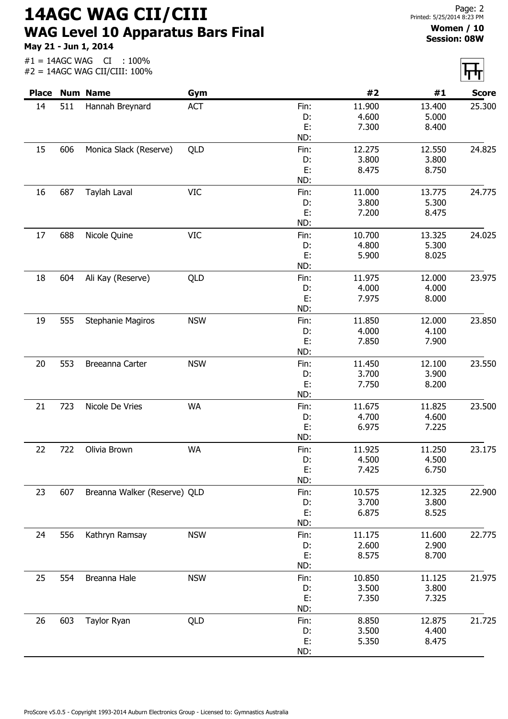14AGC WAG CII/CIII WAG Level 10 Apparatus Bars Final

May 21 - Jun 1, 2014

#1 = 14AGC WAG CI : 100%

Women / 10 Session: 08W

|              |     | $#2 = 14AGC WAG CII/CIII: 100\%$ |            |            |                 |                 | <u> पर्पा</u> |
|--------------|-----|----------------------------------|------------|------------|-----------------|-----------------|---------------|
| <b>Place</b> |     | <b>Num Name</b>                  | Gym        |            | #2              | #1              | <b>Score</b>  |
| 14           | 511 | Hannah Breynard                  | ACT        | Fin:       | 11.900          | 13.400          | 25.300        |
|              |     |                                  |            | D:         | 4.600           | 5.000           |               |
|              |     |                                  |            | E:<br>ND:  | 7.300           | 8.400           |               |
|              |     |                                  |            |            |                 |                 |               |
| 15           | 606 | Monica Slack (Reserve)           | QLD        | Fin:<br>D: | 12.275<br>3.800 | 12.550<br>3.800 | 24.825        |
|              |     |                                  |            | E:         | 8.475           | 8.750           |               |
|              |     |                                  |            | ND:        |                 |                 |               |
| 16           | 687 | Taylah Laval                     | <b>VIC</b> | Fin:       | 11.000          | 13.775          | 24.775        |
|              |     |                                  |            | D:         | 3.800           | 5.300           |               |
|              |     |                                  |            | E:         | 7.200           | 8.475           |               |
|              |     |                                  |            | ND:        |                 |                 |               |
| 17           | 688 | Nicole Quine                     | <b>VIC</b> | Fin:       | 10.700          | 13.325          | 24.025        |
|              |     |                                  |            | D:         | 4.800           | 5.300           |               |
|              |     |                                  |            | E:         | 5.900           | 8.025           |               |
|              |     |                                  |            | ND:        |                 |                 |               |
| 18           | 604 | Ali Kay (Reserve)                | QLD        | Fin:       | 11.975          | 12.000          | 23.975        |
|              |     |                                  |            | D:         | 4.000           | 4.000           |               |
|              |     |                                  |            | E:         | 7.975           | 8.000           |               |
|              |     |                                  |            | ND:        |                 |                 |               |
| 19           | 555 | Stephanie Magiros                | <b>NSW</b> | Fin:       | 11.850          | 12.000          | 23.850        |
|              |     |                                  |            | D:         | 4.000           | 4.100           |               |
|              |     |                                  |            | E:         | 7.850           | 7.900           |               |
|              |     |                                  |            | ND:        |                 |                 |               |
| 20           | 553 | Breeanna Carter                  | <b>NSW</b> | Fin:       | 11.450          | 12.100          | 23.550        |
|              |     |                                  |            | D:         | 3.700           | 3.900           |               |
|              |     |                                  |            | E:         | 7.750           | 8.200           |               |
|              |     |                                  |            | ND:        |                 |                 |               |
| 21           | 723 | Nicole De Vries                  | <b>WA</b>  | Fin:       | 11.675          | 11.825          | 23.500        |
|              |     |                                  |            | D:         | 4.700           | 4.600           |               |
|              |     |                                  |            | E:<br>ND:  | 6.975           | 7.225           |               |
|              |     |                                  |            |            |                 |                 |               |
| 22           | 722 | Olivia Brown                     | WA         | Fin:       | 11.925          | 11.250          | 23.175        |
|              |     |                                  |            | D:<br>E:   | 4.500<br>7.425  | 4.500<br>6.750  |               |
|              |     |                                  |            | ND:        |                 |                 |               |
| 23           | 607 | Breanna Walker (Reserve) QLD     |            | Fin:       | 10.575          | 12.325          | 22.900        |
|              |     |                                  |            | D:         | 3.700           | 3.800           |               |
|              |     |                                  |            | E:         | 6.875           | 8.525           |               |
|              |     |                                  |            | ND:        |                 |                 |               |
| 24           | 556 | Kathryn Ramsay                   | <b>NSW</b> | Fin:       | 11.175          | 11.600          | 22.775        |
|              |     |                                  |            | D:         | 2.600           | 2.900           |               |
|              |     |                                  |            | E:         | 8.575           | 8.700           |               |
|              |     |                                  |            | ND:        |                 |                 |               |
| 25           | 554 | Breanna Hale                     | <b>NSW</b> | Fin:       | 10.850          | 11.125          | 21.975        |
|              |     |                                  |            | D:         | 3.500           | 3.800           |               |
|              |     |                                  |            | Е.         | 7.350           | 7.325           |               |
|              |     |                                  |            | ND:        |                 |                 |               |
| 26           | 603 | Taylor Ryan                      | QLD        | Fin:       | 8.850           | 12.875          | 21.725        |
|              |     |                                  |            | D:         | 3.500           | 4.400           |               |
|              |     |                                  |            | E:         | 5.350           | 8.475           |               |
|              |     |                                  |            | ND:        |                 |                 |               |